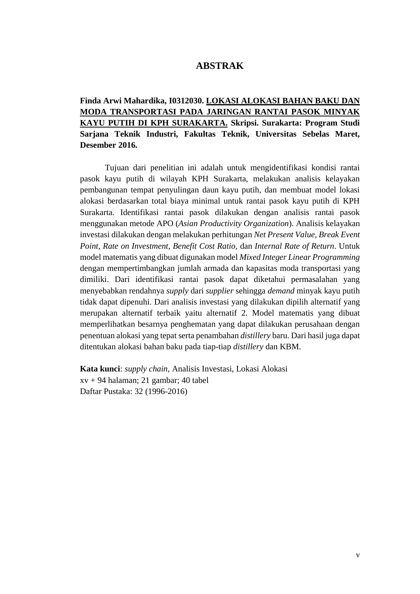## **ABSTRAK**

**Finda Arwi Mahardika, I0312030. LOKASI ALOKASI BAHAN BAKU DAN MODA TRANSPORTASI PADA JARINGAN RANTAI PASOK MINYAK KAYU PUTIH DI KPH SURAKARTA. Skripsi. Surakarta: Program Studi Sarjana Teknik Industri, Fakultas Teknik, Universitas Sebelas Maret, Desember 2016.**

Tujuan dari penelitian ini adalah untuk mengidentifikasi kondisi rantai pasok kayu putih di wilayah KPH Surakarta, melakukan analisis kelayakan pembangunan tempat penyulingan daun kayu putih, dan membuat model lokasi alokasi berdasarkan total biaya minimal untuk rantai pasok kayu putih di KPH Surakarta. Identifikasi rantai pasok dilakukan dengan analisis rantai pasok menggunakan metode APO (*Asian Productivity Organization*). Analisis kelayakan investasi dilakukan dengan melakukan perhitungan *Net Present Value, Break Event Point, Rate on Investment, Benefit Cost Ratio,* dan *Internal Rate of Return*. Untuk model matematis yang dibuat digunakan model *Mixed Integer Linear Programming* dengan mempertimbangkan jumlah armada dan kapasitas moda transportasi yang dimiliki. Dari identifikasi rantai pasok dapat diketahui permasalahan yang menyebabkan rendahnya *supply* dari *supplier* sehingga *demand* minyak kayu putih tidak dapat dipenuhi. Dari analisis investasi yang dilakukan dipilih alternatif yang merupakan alternatif terbaik yaitu alternatif 2. Model matematis yang dibuat memperlihatkan besarnya penghematan yang dapat dilakukan perusahaan dengan penentuan alokasi yang tepat serta penambahan *distillery* baru. Dari hasil juga dapat ditentukan alokasi bahan baku pada tiap-tiap *distillery* dan KBM.

**Kata kunci**: *supply chain*, Analisis Investasi, Lokasi Alokasi xv + 94 halaman; 21 gambar; 40 tabel Daftar Pustaka: 32 (1996-2016)